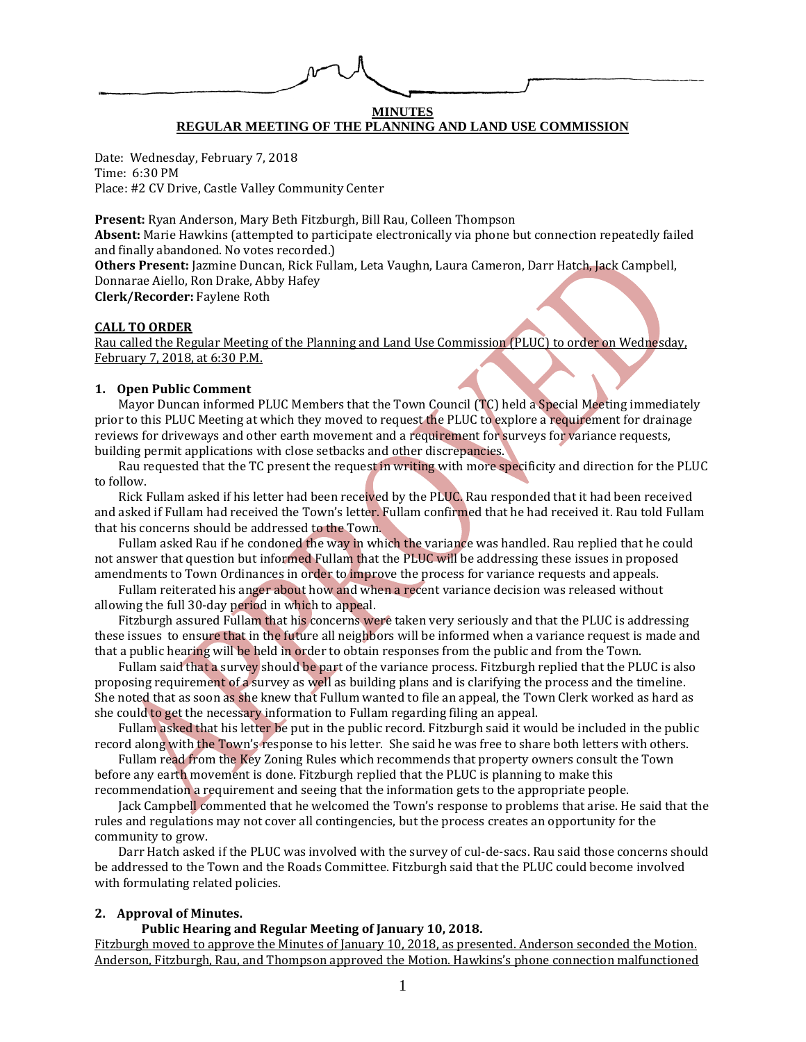# **MINUTES REGULAR MEETING OF THE PLANNING AND LAND USE COMMISSION**

Date: Wednesday, February 7, 2018 Time: 6:30 PM Place: #2 CV Drive, Castle Valley Community Center

**Present:** Ryan Anderson, Mary Beth Fitzburgh, Bill Rau, Colleen Thompson **Absent:** Marie Hawkins (attempted to participate electronically via phone but connection repeatedly failed and finally abandoned. No votes recorded.) **Others Present:** Jazmine Duncan, Rick Fullam, Leta Vaughn, Laura Cameron, Darr Hatch, Jack Campbell, Donnarae Aiello, Ron Drake, Abby Hafey

**Clerk/Recorder:** Faylene Roth

#### **CALL TO ORDER**

Rau called the Regular Meeting of the Planning and Land Use Commission (PLUC) to order on Wednesday, February 7, 2018, at 6:30 P.M.

#### **1. Open Public Comment**

Mayor Duncan informed PLUC Members that the Town Council (TC) held a Special Meeting immediately prior to this PLUC Meeting at which they moved to request the PLUC to explore a requirement for drainage reviews for driveways and other earth movement and a requirement for surveys for variance requests, building permit applications with close setbacks and other discrepancies.

Rau requested that the TC present the request in writing with more specificity and direction for the PLUC to follow.

Rick Fullam asked if his letter had been received by the PLUC. Rau responded that it had been received and asked if Fullam had received the Town's letter. Fullam confirmed that he had received it. Rau told Fullam that his concerns should be addressed to the Town.

Fullam asked Rau if he condoned the way in which the variance was handled. Rau replied that he could not answer that question but informed Fullam that the PLUC will be addressing these issues in proposed amendments to Town Ordinances in order to improve the process for variance requests and appeals.

Fullam reiterated his anger about how and when a recent variance decision was released without allowing the full 30-day period in which to appeal.

Fitzburgh assured Fullam that his concerns were taken very seriously and that the PLUC is addressing these issues to ensure that in the future all neighbors will be informed when a variance request is made and that a public hearing will be held in order to obtain responses from the public and from the Town.

Fullam said that a survey should be part of the variance process. Fitzburgh replied that the PLUC is also proposing requirement of a survey as well as building plans and is clarifying the process and the timeline. She noted that as soon as she knew that Fullum wanted to file an appeal, the Town Clerk worked as hard as she could to get the necessary information to Fullam regarding filing an appeal.

Fullam asked that his letter be put in the public record. Fitzburgh said it would be included in the public record along with the Town's response to his letter. She said he was free to share both letters with others.

Fullam read from the Key Zoning Rules which recommends that property owners consult the Town before any earth movement is done. Fitzburgh replied that the PLUC is planning to make this recommendation a requirement and seeing that the information gets to the appropriate people.

Jack Campbell commented that he welcomed the Town's response to problems that arise. He said that the rules and regulations may not cover all contingencies, but the process creates an opportunity for the community to grow.

Darr Hatch asked if the PLUC was involved with the survey of cul-de-sacs. Rau said those concerns should be addressed to the Town and the Roads Committee. Fitzburgh said that the PLUC could become involved with formulating related policies.

## **2. Approval of Minutes.**

#### **Public Hearing and Regular Meeting of January 10, 2018.**

Fitzburgh moved to approve the Minutes of January 10, 2018, as presented. Anderson seconded the Motion. Anderson, Fitzburgh, Rau, and Thompson approved the Motion. Hawkins's phone connection malfunctioned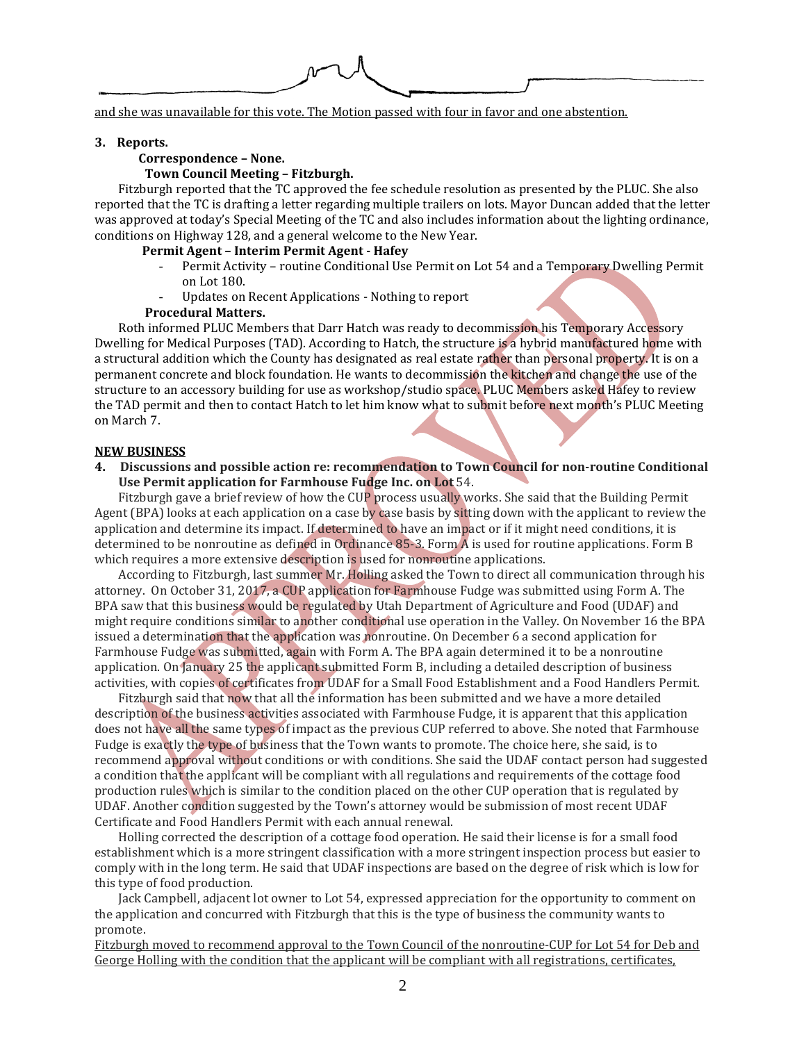and she was unavailable for this vote. The Motion passed with four in favor and one abstention.

#### **3. Reports.**

## **Correspondence – None.**

## **Town Council Meeting – Fitzburgh.**

Fitzburgh reported that the TC approved the fee schedule resolution as presented by the PLUC. She also reported that the TC is drafting a letter regarding multiple trailers on lots. Mayor Duncan added that the letter was approved at today's Special Meeting of the TC and also includes information about the lighting ordinance, conditions on Highway 128, and a general welcome to the New Year.

### **Permit Agent – Interim Permit Agent - Hafey**

- Permit Activity routine Conditional Use Permit on Lot 54 and a Temporary Dwelling Permit on Lot 180.
- Updates on Recent Applications Nothing to report

#### **Procedural Matters.**

Roth informed PLUC Members that Darr Hatch was ready to decommission his Temporary Accessory Dwelling for Medical Purposes (TAD). According to Hatch, the structure is a hybrid manufactured home with a structural addition which the County has designated as real estate rather than personal property. It is on a permanent concrete and block foundation. He wants to decommission the kitchen and change the use of the structure to an accessory building for use as workshop/studio space. PLUC Members asked Hafey to review the TAD permit and then to contact Hatch to let him know what to submit before next month's PLUC Meeting on March 7.

#### **NEW BUSINESS**

**4. Discussions and possible action re: recommendation to Town Council for non-routine Conditional Use Permit application for Farmhouse Fudge Inc. on Lot** 54.

Fitzburgh gave a brief review of how the CUP process usually works. She said that the Building Permit Agent (BPA) looks at each application on a case by case basis by sitting down with the applicant to review the application and determine its impact. If determined to have an impact or if it might need conditions, it is determined to be nonroutine as defined in Ordinance 85-3. Form A is used for routine applications. Form B which requires a more extensive description is used for nonroutine applications.

According to Fitzburgh, last summer Mr. Holling asked the Town to direct all communication through his attorney. On October 31, 2017, a CUP application for Farmhouse Fudge was submitted using Form A. The BPA saw that this business would be regulated by Utah Department of Agriculture and Food (UDAF) and might require conditions similar to another conditional use operation in the Valley. On November 16 the BPA issued a determination that the application was nonroutine. On December 6 a second application for Farmhouse Fudge was submitted, again with Form A. The BPA again determined it to be a nonroutine application. On January 25 the applicant submitted Form B, including a detailed description of business activities, with copies of certificates from UDAF for a Small Food Establishment and a Food Handlers Permit.

Fitzburgh said that now that all the information has been submitted and we have a more detailed description of the business activities associated with Farmhouse Fudge, it is apparent that this application does not have all the same types of impact as the previous CUP referred to above. She noted that Farmhouse Fudge is exactly the type of business that the Town wants to promote. The choice here, she said, is to recommend approval without conditions or with conditions. She said the UDAF contact person had suggested a condition that the applicant will be compliant with all regulations and requirements of the cottage food production rules which is similar to the condition placed on the other CUP operation that is regulated by UDAF. Another condition suggested by the Town's attorney would be submission of most recent UDAF Certificate and Food Handlers Permit with each annual renewal.

Holling corrected the description of a cottage food operation. He said their license is for a small food establishment which is a more stringent classification with a more stringent inspection process but easier to comply with in the long term. He said that UDAF inspections are based on the degree of risk which is low for this type of food production.

Jack Campbell, adjacent lot owner to Lot 54, expressed appreciation for the opportunity to comment on the application and concurred with Fitzburgh that this is the type of business the community wants to promote.

Fitzburgh moved to recommend approval to the Town Council of the nonroutine-CUP for Lot 54 for Deb and George Holling with the condition that the applicant will be compliant with all registrations, certificates,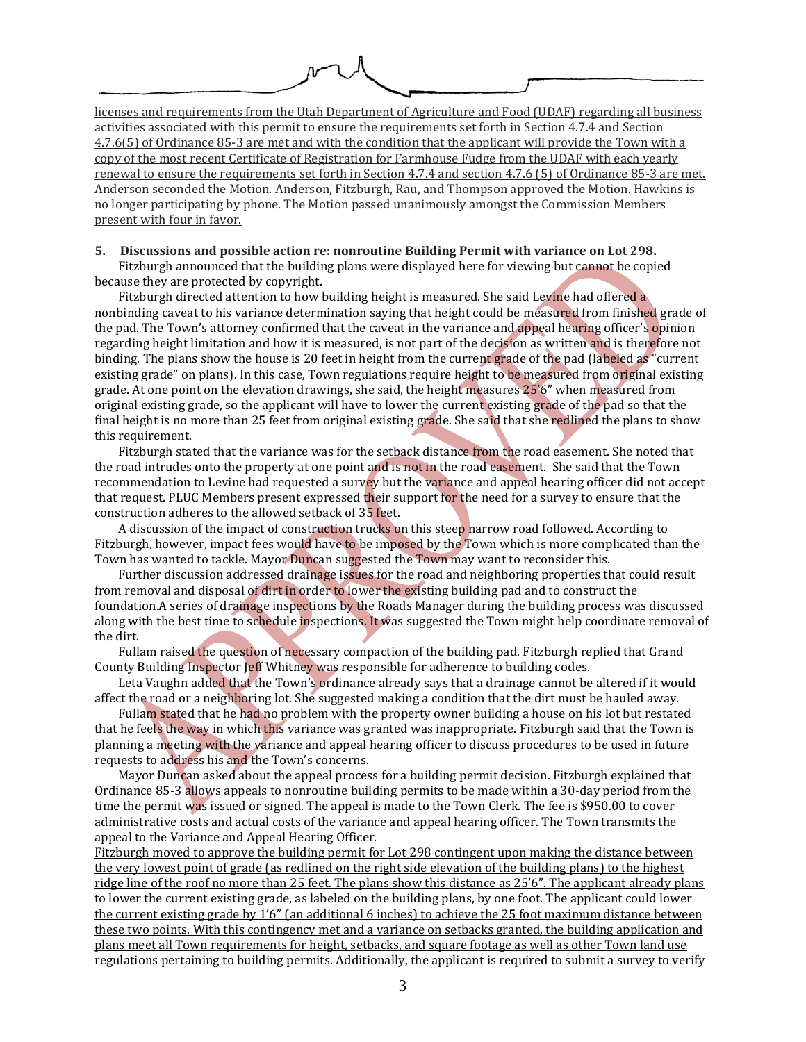licenses and requirements from the Utah Department of Agriculture and Food (UDAF) regarding all business activities associated with this permit to ensure the requirements set forth in Section 4.7.4 and Section 4.7.6(5) of Ordinance 85-3 are met and with the condition that the applicant will provide the Town with a copy of the most recent Certificate of Registration for Farmhouse Fudge from the UDAF with each yearly renewal to ensure the requirements set forth in Section 4.7.4 and section 4.7.6 (5) of Ordinance 85-3 are met. Anderson seconded the Motion. Anderson, Fitzburgh, Rau, and Thompson approved the Motion. Hawkins is no longer participating by phone. The Motion passed unanimously amongst the Commission Members present with four in favor.

#### **5. Discussions and possible action re: nonroutine Building Permit with variance on Lot 298.** Fitzburgh announced that the building plans were displayed here for viewing but cannot be copied

because they are protected by copyright.

Fitzburgh directed attention to how building height is measured. She said Levine had offered a nonbinding caveat to his variance determination saying that height could be measured from finished grade of the pad. The Town's attorney confirmed that the caveat in the variance and appeal hearing officer's opinion regarding height limitation and how it is measured, is not part of the decision as written and is therefore not binding. The plans show the house is 20 feet in height from the current grade of the pad (labeled as "current existing grade" on plans). In this case, Town regulations require height to be measured from original existing grade. At one point on the elevation drawings, she said, the height measures 25'6" when measured from original existing grade, so the applicant will have to lower the current existing grade of the pad so that the final height is no more than 25 feet from original existing grade. She said that she redlined the plans to show this requirement.

Fitzburgh stated that the variance was for the setback distance from the road easement. She noted that the road intrudes onto the property at one point and is not in the road easement. She said that the Town recommendation to Levine had requested a survey but the variance and appeal hearing officer did not accept that request. PLUC Members present expressed their support for the need for a survey to ensure that the construction adheres to the allowed setback of 35 feet.

A discussion of the impact of construction trucks on this steep narrow road followed. According to Fitzburgh, however, impact fees would have to be imposed by the Town which is more complicated than the Town has wanted to tackle. Mayor Duncan suggested the Town may want to reconsider this.

Further discussion addressed drainage issues for the road and neighboring properties that could result from removal and disposal of dirt in order to lower the existing building pad and to construct the foundation.A series of drainage inspections by the Roads Manager during the building process was discussed along with the best time to schedule inspections. It was suggested the Town might help coordinate removal of the dirt.

Fullam raised the question of necessary compaction of the building pad. Fitzburgh replied that Grand County Building Inspector Jeff Whitney was responsible for adherence to building codes.

Leta Vaughn added that the Town's ordinance already says that a drainage cannot be altered if it would affect the road or a neighboring lot. She suggested making a condition that the dirt must be hauled away.

Fullam stated that he had no problem with the property owner building a house on his lot but restated that he feels the way in which this variance was granted was inappropriate. Fitzburgh said that the Town is planning a meeting with the variance and appeal hearing officer to discuss procedures to be used in future requests to address his and the Town's concerns.

Mayor Duncan asked about the appeal process for a building permit decision. Fitzburgh explained that Ordinance 85-3 allows appeals to nonroutine building permits to be made within a 30-day period from the time the permit was issued or signed. The appeal is made to the Town Clerk. The fee is \$950.00 to cover administrative costs and actual costs of the variance and appeal hearing officer. The Town transmits the appeal to the Variance and Appeal Hearing Officer.

Fitzburgh moved to approve the building permit for Lot 298 contingent upon making the distance between the very lowest point of grade (as redlined on the right side elevation of the building plans) to the highest ridge line of the roof no more than 25 feet. The plans show this distance as 25'6". The applicant already plans to lower the current existing grade, as labeled on the building plans, by one foot. The applicant could lower the current existing grade by 1'6" (an additional 6 inches) to achieve the 25 foot maximum distance between these two points. With this contingency met and a variance on setbacks granted, the building application and plans meet all Town requirements for height, setbacks, and square footage as well as other Town land use regulations pertaining to building permits. Additionally, the applicant is required to submit a survey to verify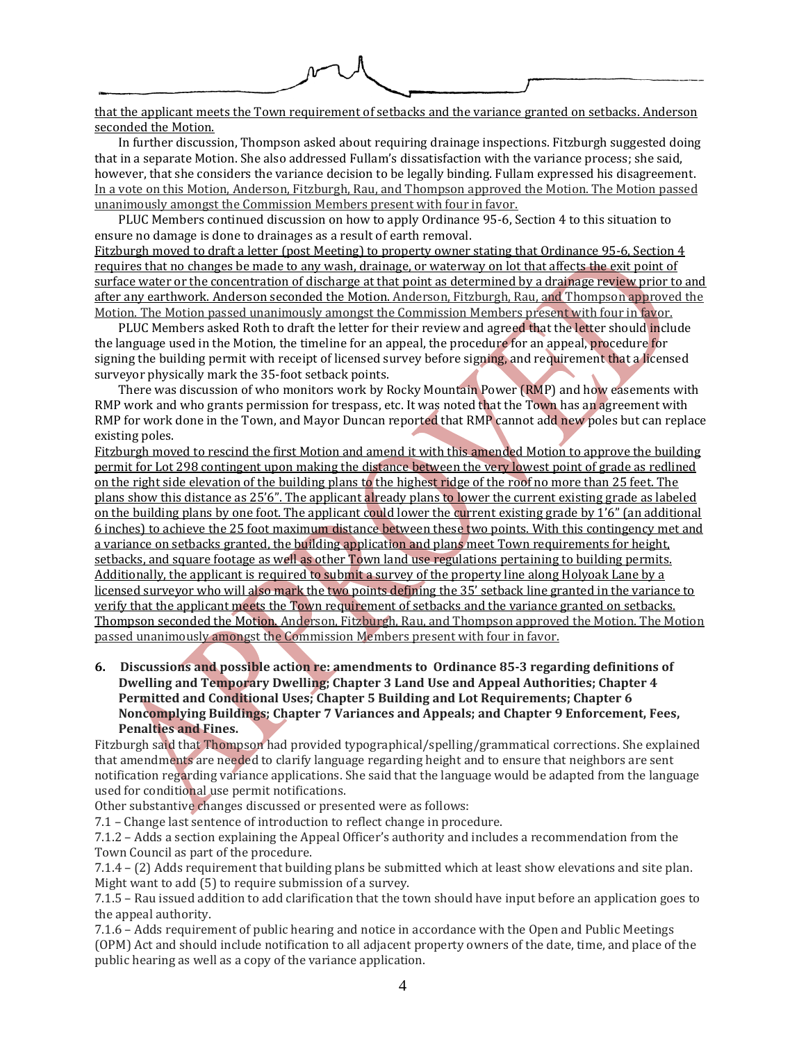that the applicant meets the Town requirement of setbacks and the variance granted on setbacks. Anderson seconded the Motion.

In further discussion, Thompson asked about requiring drainage inspections. Fitzburgh suggested doing that in a separate Motion. She also addressed Fullam's dissatisfaction with the variance process; she said, however, that she considers the variance decision to be legally binding. Fullam expressed his disagreement. In a vote on this Motion, Anderson, Fitzburgh, Rau, and Thompson approved the Motion. The Motion passed unanimously amongst the Commission Members present with four in favor.

PLUC Members continued discussion on how to apply Ordinance 95-6, Section 4 to this situation to ensure no damage is done to drainages as a result of earth removal.

Fitzburgh moved to draft a letter (post Meeting) to property owner stating that Ordinance 95-6, Section 4 requires that no changes be made to any wash, drainage, or waterway on lot that affects the exit point of surface water or the concentration of discharge at that point as determined by a drainage review prior to and after any earthwork. Anderson seconded the Motion. Anderson, Fitzburgh, Rau, and Thompson approved the Motion. The Motion passed unanimously amongst the Commission Members present with four in favor.

PLUC Members asked Roth to draft the letter for their review and agreed that the letter should include the language used in the Motion, the timeline for an appeal, the procedure for an appeal, procedure for signing the building permit with receipt of licensed survey before signing, and requirement that a licensed surveyor physically mark the 35-foot setback points.

There was discussion of who monitors work by Rocky Mountain Power (RMP) and how easements with RMP work and who grants permission for trespass, etc. It was noted that the Town has an agreement with RMP for work done in the Town, and Mayor Duncan reported that RMP cannot add new poles but can replace existing poles.

Fitzburgh moved to rescind the first Motion and amend it with this amended Motion to approve the building permit for Lot 298 contingent upon making the distance between the very lowest point of grade as redlined on the right side elevation of the building plans to the highest ridge of the roof no more than 25 feet. The plans show this distance as 25'6". The applicant already plans to lower the current existing grade as labeled on the building plans by one foot. The applicant could lower the current existing grade by 1'6" (an additional 6 inches) to achieve the 25 foot maximum distance between these two points. With this contingency met and a variance on setbacks granted, the building application and plans meet Town requirements for height, setbacks, and square footage as well as other Town land use regulations pertaining to building permits. Additionally, the applicant is required to submit a survey of the property line along Holyoak Lane by a licensed surveyor who will also mark the two points defining the 35' setback line granted in the variance to verify that the applicant meets the Town requirement of setbacks and the variance granted on setbacks. Thompson seconded the Motion. Anderson, Fitzburgh, Rau, and Thompson approved the Motion. The Motion passed unanimously amongst the Commission Members present with four in favor.

**6. Discussions and possible action re: amendments to Ordinance 85-3 regarding definitions of Dwelling and Temporary Dwelling; Chapter 3 Land Use and Appeal Authorities; Chapter 4 Permitted and Conditional Uses; Chapter 5 Building and Lot Requirements; Chapter 6 Noncomplying Buildings; Chapter 7 Variances and Appeals; and Chapter 9 Enforcement, Fees, Penalties and Fines.**

Fitzburgh said that Thompson had provided typographical/spelling/grammatical corrections. She explained that amendments are needed to clarify language regarding height and to ensure that neighbors are sent notification regarding variance applications. She said that the language would be adapted from the language used for conditional use permit notifications.

Other substantive changes discussed or presented were as follows:

7.1 – Change last sentence of introduction to reflect change in procedure.

7.1.2 – Adds a section explaining the Appeal Officer's authority and includes a recommendation from the Town Council as part of the procedure.

7.1.4 – (2) Adds requirement that building plans be submitted which at least show elevations and site plan. Might want to add (5) to require submission of a survey.

7.1.5 – Rau issued addition to add clarification that the town should have input before an application goes to the appeal authority.

7.1.6 – Adds requirement of public hearing and notice in accordance with the Open and Public Meetings (OPM) Act and should include notification to all adjacent property owners of the date, time, and place of the public hearing as well as a copy of the variance application.